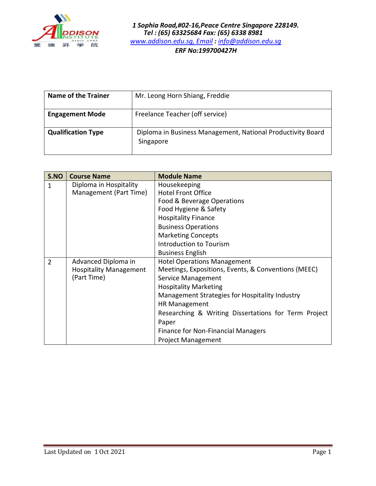

| <b>Name of the Trainer</b> | Mr. Leong Horn Shiang, Freddie                                           |
|----------------------------|--------------------------------------------------------------------------|
| <b>Engagement Mode</b>     | Freelance Teacher (off service)                                          |
| <b>Qualification Type</b>  | Diploma in Business Management, National Productivity Board<br>Singapore |

| S.NO           | <b>Course Name</b>            | <b>Module Name</b>                                   |
|----------------|-------------------------------|------------------------------------------------------|
| $\mathbf{1}$   | Diploma in Hospitality        | Housekeeping                                         |
|                | Management (Part Time)        | <b>Hotel Front Office</b>                            |
|                |                               | Food & Beverage Operations                           |
|                |                               | Food Hygiene & Safety                                |
|                |                               | <b>Hospitality Finance</b>                           |
|                |                               | <b>Business Operations</b>                           |
|                |                               | <b>Marketing Concepts</b>                            |
|                |                               | Introduction to Tourism                              |
|                |                               | <b>Business English</b>                              |
| $\overline{2}$ | Advanced Diploma in           | <b>Hotel Operations Management</b>                   |
|                | <b>Hospitality Management</b> | Meetings, Expositions, Events, & Conventions (MEEC)  |
|                | (Part Time)                   | Service Management                                   |
|                |                               | <b>Hospitality Marketing</b>                         |
|                |                               | Management Strategies for Hospitality Industry       |
|                |                               | <b>HR Management</b>                                 |
|                |                               | Researching & Writing Dissertations for Term Project |
|                |                               | Paper                                                |
|                |                               | Finance for Non-Financial Managers                   |
|                |                               | <b>Project Management</b>                            |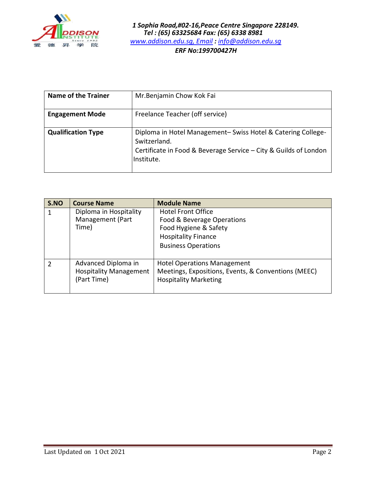

| <b>Name of the Trainer</b> | Mr. Benjamin Chow Kok Fai                                                                                                                                     |
|----------------------------|---------------------------------------------------------------------------------------------------------------------------------------------------------------|
| <b>Engagement Mode</b>     | Freelance Teacher (off service)                                                                                                                               |
| <b>Qualification Type</b>  | Diploma in Hotel Management-Swiss Hotel & Catering College-<br>Switzerland.<br>Certificate in Food & Beverage Service - City & Guilds of London<br>Institute. |

| S.NO           | <b>Course Name</b>                                                  | <b>Module Name</b>                                                                                                                           |
|----------------|---------------------------------------------------------------------|----------------------------------------------------------------------------------------------------------------------------------------------|
| 1              | Diploma in Hospitality<br>Management (Part<br>Time)                 | <b>Hotel Front Office</b><br>Food & Beverage Operations<br>Food Hygiene & Safety<br><b>Hospitality Finance</b><br><b>Business Operations</b> |
| $\overline{2}$ | Advanced Diploma in<br><b>Hospitality Management</b><br>(Part Time) | <b>Hotel Operations Management</b><br>Meetings, Expositions, Events, & Conventions (MEEC)<br><b>Hospitality Marketing</b>                    |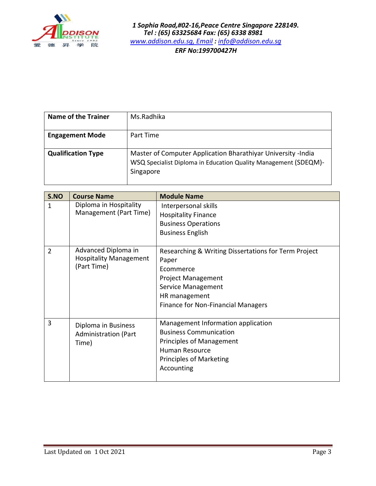

| <b>Name of the Trainer</b> | Ms.Radhika                                                                                                                                   |
|----------------------------|----------------------------------------------------------------------------------------------------------------------------------------------|
| <b>Engagement Mode</b>     | Part Time                                                                                                                                    |
| <b>Qualification Type</b>  | Master of Computer Application Bharathiyar University -India<br>WSQ Specialist Diploma in Education Quality Management (SDEQM)-<br>Singapore |

| S.NO           | <b>Course Name</b>                                                  | <b>Module Name</b>                                                                                                                                                                          |
|----------------|---------------------------------------------------------------------|---------------------------------------------------------------------------------------------------------------------------------------------------------------------------------------------|
| 1              | Diploma in Hospitality<br>Management (Part Time)                    | Interpersonal skills<br><b>Hospitality Finance</b><br><b>Business Operations</b><br><b>Business English</b>                                                                                 |
| $\overline{2}$ | Advanced Diploma in<br><b>Hospitality Management</b><br>(Part Time) | Researching & Writing Dissertations for Term Project<br>Paper<br>Ecommerce<br><b>Project Management</b><br>Service Management<br>HR management<br><b>Finance for Non-Financial Managers</b> |
| 3              | Diploma in Business<br><b>Administration (Part</b><br>Time)         | Management Information application<br><b>Business Communication</b><br><b>Principles of Management</b><br><b>Human Resource</b><br>Principles of Marketing<br>Accounting                    |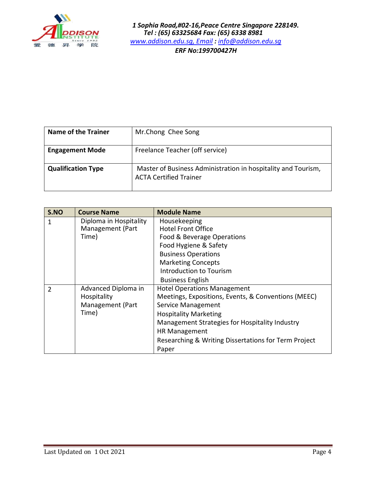

| <b>Name of the Trainer</b> | Mr.Chong Chee Song                                                                             |
|----------------------------|------------------------------------------------------------------------------------------------|
| <b>Engagement Mode</b>     | Freelance Teacher (off service)                                                                |
| <b>Qualification Type</b>  | Master of Business Administration in hospitality and Tourism,<br><b>ACTA Certified Trainer</b> |

| S.NO | <b>Course Name</b>                                              | <b>Module Name</b>                                                                                                                                                                                                                                                                                |
|------|-----------------------------------------------------------------|---------------------------------------------------------------------------------------------------------------------------------------------------------------------------------------------------------------------------------------------------------------------------------------------------|
| 1    | Diploma in Hospitality<br>Management (Part<br>Time)             | Housekeeping<br><b>Hotel Front Office</b><br>Food & Beverage Operations<br>Food Hygiene & Safety<br><b>Business Operations</b><br><b>Marketing Concepts</b><br>Introduction to Tourism<br><b>Business English</b>                                                                                 |
| 2    | Advanced Diploma in<br>Hospitality<br>Management (Part<br>Time) | <b>Hotel Operations Management</b><br>Meetings, Expositions, Events, & Conventions (MEEC)<br><b>Service Management</b><br><b>Hospitality Marketing</b><br>Management Strategies for Hospitality Industry<br><b>HR Management</b><br>Researching & Writing Dissertations for Term Project<br>Paper |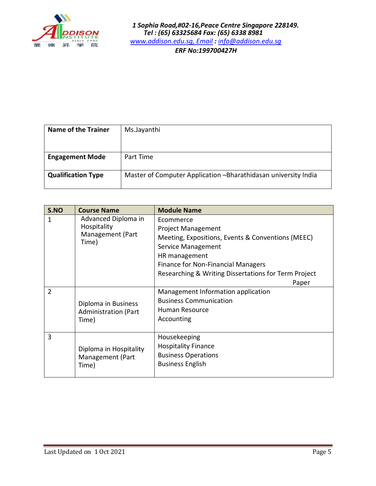

| <b>Name of the Trainer</b> | Ms.Jayanthi                                                    |
|----------------------------|----------------------------------------------------------------|
| <b>Engagement Mode</b>     | Part Time                                                      |
| <b>Qualification Type</b>  | Master of Computer Application -Bharathidasan university India |

| S.NO           | <b>Course Name</b>                                              | <b>Module Name</b>                                                                                                                                                                                                                               |
|----------------|-----------------------------------------------------------------|--------------------------------------------------------------------------------------------------------------------------------------------------------------------------------------------------------------------------------------------------|
| 1              | Advanced Diploma in<br>Hospitality<br>Management (Part<br>Time) | Ecommerce<br><b>Project Management</b><br>Meeting, Expositions, Events & Conventions (MEEC)<br>Service Management<br>HR management<br><b>Finance for Non-Financial Managers</b><br>Researching & Writing Dissertations for Term Project<br>Paper |
| $\overline{2}$ | Diploma in Business<br><b>Administration (Part</b><br>Time)     | Management Information application<br><b>Business Communication</b><br>Human Resource<br>Accounting                                                                                                                                              |
| 3              | Diploma in Hospitality<br>Management (Part<br>Time)             | Housekeeping<br><b>Hospitality Finance</b><br><b>Business Operations</b><br><b>Business English</b>                                                                                                                                              |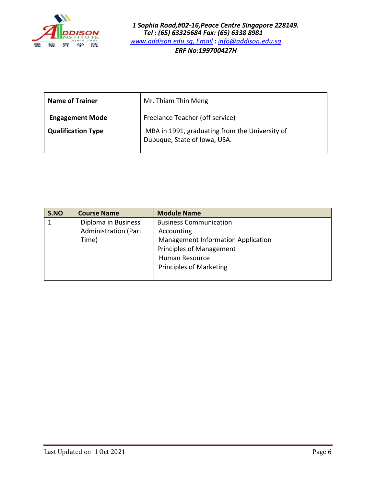

| <b>Name of Trainer</b>    | Mr. Thiam Thin Meng                                                            |
|---------------------------|--------------------------------------------------------------------------------|
| <b>Engagement Mode</b>    | Freelance Teacher (off service)                                                |
| <b>Qualification Type</b> | MBA in 1991, graduating from the University of<br>Dubuque, State of Iowa, USA. |

| S.NO | <b>Course Name</b>   | <b>Module Name</b>                 |
|------|----------------------|------------------------------------|
|      | Diploma in Business  | <b>Business Communication</b>      |
|      | Administration (Part | Accounting                         |
|      | Time)                | Management Information Application |
|      |                      | <b>Principles of Management</b>    |
|      |                      | Human Resource                     |
|      |                      | <b>Principles of Marketing</b>     |
|      |                      |                                    |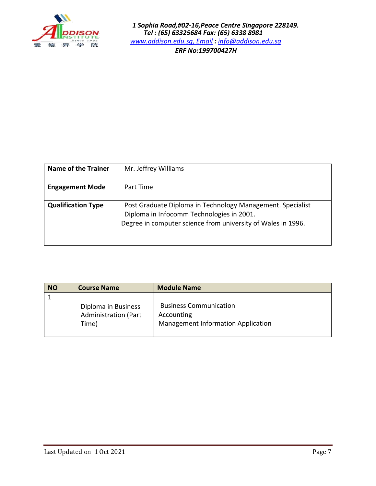

| Name of the Trainer       | Mr. Jeffrey Williams                                                                                                                                                    |
|---------------------------|-------------------------------------------------------------------------------------------------------------------------------------------------------------------------|
| <b>Engagement Mode</b>    | Part Time                                                                                                                                                               |
| <b>Qualification Type</b> | Post Graduate Diploma in Technology Management. Specialist<br>Diploma in Infocomm Technologies in 2001.<br>Degree in computer science from university of Wales in 1996. |

| <b>NO</b> | <b>Course Name</b>                                          | <b>Module Name</b>                                                                       |
|-----------|-------------------------------------------------------------|------------------------------------------------------------------------------------------|
|           |                                                             |                                                                                          |
|           | Diploma in Business<br><b>Administration (Part</b><br>Time) | <b>Business Communication</b><br>Accounting<br><b>Management Information Application</b> |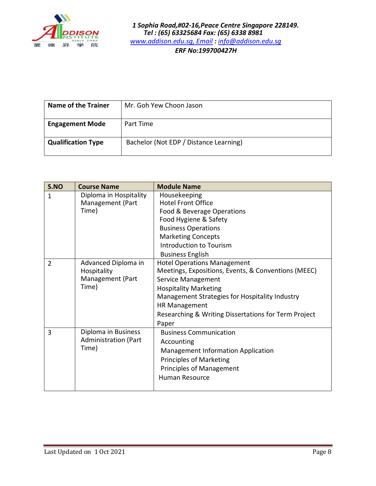

| <b>Name of the Trainer</b> | Mr. Goh Yew Choon Jason                |
|----------------------------|----------------------------------------|
| <b>Engagement Mode</b>     | Part Time                              |
| <b>Qualification Type</b>  | Bachelor (Not EDP / Distance Learning) |

| S.NO           | <b>Course Name</b>                                              | <b>Module Name</b>                                                                                                                                                                                                                                                                  |
|----------------|-----------------------------------------------------------------|-------------------------------------------------------------------------------------------------------------------------------------------------------------------------------------------------------------------------------------------------------------------------------------|
| 1              | Diploma in Hospitality<br>Management (Part<br>Time)             | Housekeeping<br><b>Hotel Front Office</b><br>Food & Beverage Operations<br>Food Hygiene & Safety<br><b>Business Operations</b><br><b>Marketing Concepts</b><br>Introduction to Tourism<br><b>Business English</b>                                                                   |
| $\overline{2}$ | Advanced Diploma in<br>Hospitality<br>Management (Part<br>Time) | <b>Hotel Operations Management</b><br>Meetings, Expositions, Events, & Conventions (MEEC)<br>Service Management<br><b>Hospitality Marketing</b><br>Management Strategies for Hospitality Industry<br>HR Management<br>Researching & Writing Dissertations for Term Project<br>Paper |
| 3              | Diploma in Business<br><b>Administration (Part</b><br>Time)     | <b>Business Communication</b><br>Accounting<br><b>Management Information Application</b><br><b>Principles of Marketing</b><br>Principles of Management<br><b>Human Resource</b>                                                                                                     |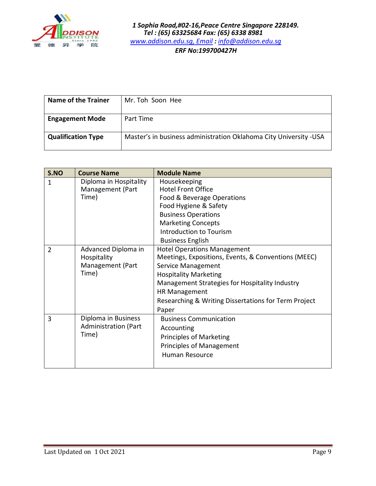

| <b>Name of the Trainer</b> | Mr. Toh Soon Hee                                                   |
|----------------------------|--------------------------------------------------------------------|
| <b>Engagement Mode</b>     | Part Time                                                          |
| <b>Qualification Type</b>  | Master's in business administration Oklahoma City University - USA |

| S.NO           | <b>Course Name</b>                                              | <b>Module Name</b>                                                                                                                                                                                                                                                                         |
|----------------|-----------------------------------------------------------------|--------------------------------------------------------------------------------------------------------------------------------------------------------------------------------------------------------------------------------------------------------------------------------------------|
| 1              | Diploma in Hospitality<br>Management (Part<br>Time)             | Housekeeping<br><b>Hotel Front Office</b><br>Food & Beverage Operations<br>Food Hygiene & Safety<br><b>Business Operations</b><br><b>Marketing Concepts</b><br>Introduction to Tourism<br><b>Business English</b>                                                                          |
| $\overline{2}$ | Advanced Diploma in<br>Hospitality<br>Management (Part<br>Time) | <b>Hotel Operations Management</b><br>Meetings, Expositions, Events, & Conventions (MEEC)<br>Service Management<br><b>Hospitality Marketing</b><br>Management Strategies for Hospitality Industry<br><b>HR Management</b><br>Researching & Writing Dissertations for Term Project<br>Paper |
| 3              | Diploma in Business<br><b>Administration (Part</b><br>Time)     | <b>Business Communication</b><br>Accounting<br><b>Principles of Marketing</b><br><b>Principles of Management</b><br><b>Human Resource</b>                                                                                                                                                  |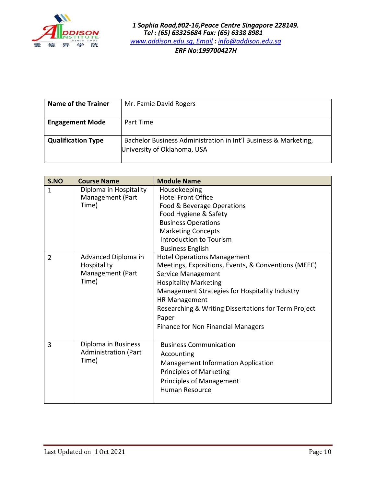

| <b>Name of the Trainer</b> | Mr. Famie David Rogers                                          |
|----------------------------|-----------------------------------------------------------------|
|                            |                                                                 |
|                            |                                                                 |
|                            |                                                                 |
| <b>Engagement Mode</b>     | Part Time                                                       |
|                            |                                                                 |
|                            |                                                                 |
|                            |                                                                 |
| <b>Qualification Type</b>  | Bachelor Business Administration in Int'l Business & Marketing, |
|                            |                                                                 |
|                            | University of Oklahoma, USA                                     |
|                            |                                                                 |
|                            |                                                                 |
|                            |                                                                 |

| S.NO           | <b>Course Name</b>                                              | <b>Module Name</b>                                                                                                                                                                                                                                                                                                                      |
|----------------|-----------------------------------------------------------------|-----------------------------------------------------------------------------------------------------------------------------------------------------------------------------------------------------------------------------------------------------------------------------------------------------------------------------------------|
| 1              | Diploma in Hospitality<br>Management (Part<br>Time)             | Housekeeping<br><b>Hotel Front Office</b><br>Food & Beverage Operations<br>Food Hygiene & Safety<br><b>Business Operations</b><br><b>Marketing Concepts</b><br>Introduction to Tourism<br><b>Business English</b>                                                                                                                       |
| $\overline{2}$ | Advanced Diploma in<br>Hospitality<br>Management (Part<br>Time) | <b>Hotel Operations Management</b><br>Meetings, Expositions, Events, & Conventions (MEEC)<br>Service Management<br><b>Hospitality Marketing</b><br>Management Strategies for Hospitality Industry<br><b>HR Management</b><br>Researching & Writing Dissertations for Term Project<br>Paper<br><b>Finance for Non Financial Managers</b> |
| 3              | Diploma in Business<br><b>Administration (Part</b><br>Time)     | <b>Business Communication</b><br>Accounting<br><b>Management Information Application</b><br><b>Principles of Marketing</b><br><b>Principles of Management</b><br><b>Human Resource</b>                                                                                                                                                  |